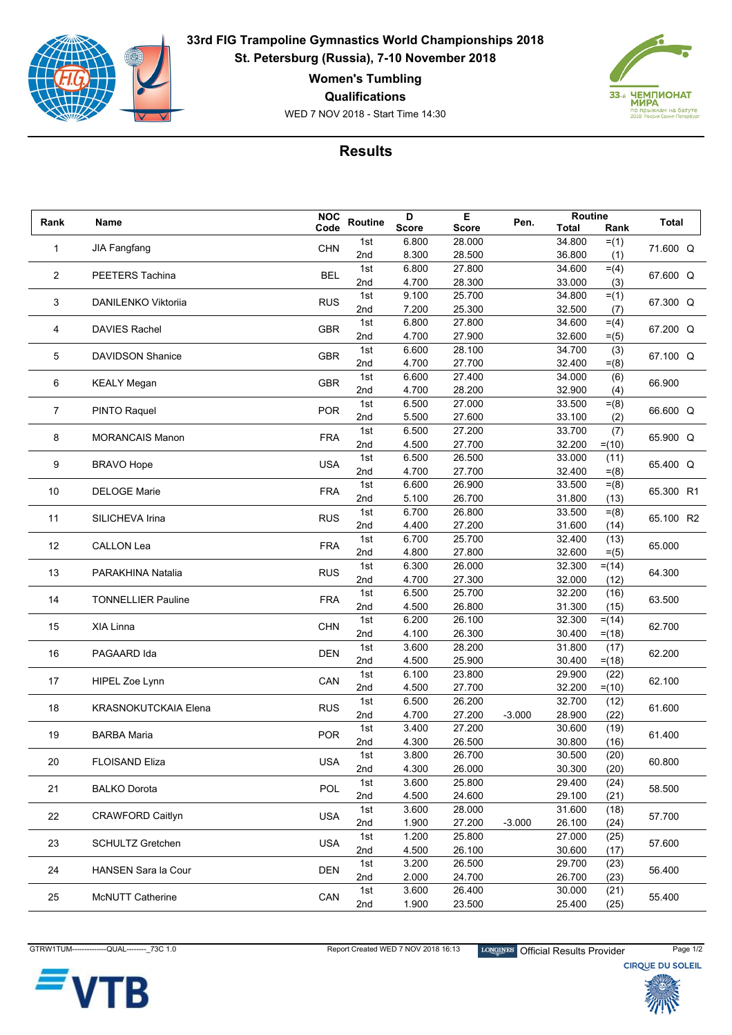

**33rd FIG Trampoline Gymnastics World Championships 2018 St. Petersburg (Russia), 7-10 November 2018**

**Women's Tumbling**

**Qualifications**

WED 7 NOV 2018 - Start Time 14:30



## **Results**

|   | Rank           | Name                                               | <b>NOC</b> | <b>Routine</b> | D            | Е            | Pen.     | Routine      |          |                  |
|---|----------------|----------------------------------------------------|------------|----------------|--------------|--------------|----------|--------------|----------|------------------|
|   |                |                                                    | Code       |                | <b>Score</b> | <b>Score</b> |          | <b>Total</b> | Rank     | <b>Total</b>     |
|   | 1              | <b>JIA Fangfang</b>                                | <b>CHN</b> | 1st            | 6.800        | 28.000       |          | 34.800       | $= (1)$  | 71.600 Q         |
|   |                |                                                    |            | 2nd            | 8.300        | 28.500       |          | 36.800       | (1)      |                  |
|   | $\overline{2}$ |                                                    |            | 1st            | 6.800        | 27.800       |          | 34.600       | $= (4)$  |                  |
|   |                | PEETERS Tachina                                    | <b>BEL</b> | 2nd            | 4.700        | 28.300       |          | 33.000       | (3)      | 67.600 Q         |
|   |                |                                                    |            | 1st            | 9.100        | 25.700       |          | 34.800       | $= (1)$  |                  |
|   | 3              | DANILENKO Viktorija                                | <b>RUS</b> | 2nd            | 7.200        | 25.300       |          | 32.500       | (7)      | 67.300 Q         |
|   |                |                                                    |            | 1st            | 6.800        | 27.800       |          | 34.600       | $= (4)$  |                  |
|   | 4              | <b>DAVIES Rachel</b>                               | <b>GBR</b> | 2nd            | 4.700        | 27.900       |          | 32.600       | $= (5)$  | 67.200 Q         |
| 5 |                | <b>DAVIDSON Shanice</b>                            | <b>GBR</b> | 1st            | 6.600        | 28.100       |          | 34.700       | (3)      |                  |
|   |                |                                                    |            | 2nd            | 4.700        | 27.700       |          | 32.400       | $= (8)$  | 67.100 Q         |
|   |                |                                                    |            | 1st            | 6.600        | 27.400       |          | 34.000       | (6)      |                  |
|   | 6              | <b>KEALY Megan</b>                                 | <b>GBR</b> | 2nd            | 4.700        | 28.200       |          | 32.900       | (4)      | 66.900           |
|   |                |                                                    |            | 1st            | 6.500        | 27.000       |          | 33.500       | $= (8)$  |                  |
|   | $\overline{7}$ | <b>PINTO Raquel</b>                                | <b>POR</b> | 2nd            | 5.500        | 27.600       |          | 33.100       | (2)      | 66.600 Q         |
|   |                |                                                    |            | 1st            | 6.500        | 27.200       |          | 33.700       | (7)      |                  |
|   | 8              | <b>MORANCAIS Manon</b>                             | <b>FRA</b> | 2nd            | 4.500        | 27.700       |          | 32.200       | $= (10)$ | 65.900 Q         |
|   |                |                                                    |            | 1st            | 6.500        | 26.500       |          | 33.000       | (11)     |                  |
|   | 9              | <b>BRAVO Hope</b>                                  | <b>USA</b> | 2nd            | 4.700        | 27.700       |          | 32.400       | $= (8)$  | 65.400 Q         |
|   |                |                                                    |            | 1st            | 6.600        | 26.900       |          | 33.500       |          |                  |
|   | 10             | <b>DELOGE Marie</b>                                | <b>FRA</b> | 2nd            | 5.100        | 26.700       |          | 31.800       | $= (8)$  | 65.300 R1        |
|   |                |                                                    |            | 1st            | 6.700        |              |          | 33.500       | (13)     |                  |
|   | 11             | SILICHEVA Irina                                    | <b>RUS</b> |                |              | 26.800       |          |              | $= (8)$  | 65.100 R2        |
|   |                |                                                    |            | 2nd            | 4.400        | 27.200       |          | 31.600       | (14)     |                  |
|   | 12             | <b>CALLON Lea</b>                                  | <b>FRA</b> | 1st            | 6.700        | 25.700       |          | 32.400       | (13)     | 65.000           |
|   |                |                                                    |            | 2nd            | 4.800        | 27.800       |          | 32.600       | $= (5)$  |                  |
|   | 13             | PARAKHINA Natalia                                  | <b>RUS</b> | 1st            | 6.300        | 26.000       |          | 32.300       | $= (14)$ | 64.300           |
|   |                |                                                    |            | 2nd            | 4.700        | 27.300       |          | 32.000       | (12)     |                  |
|   | 14             | <b>TONNELLIER Pauline</b>                          | <b>FRA</b> | 1st            | 6.500        | 25.700       |          | 32.200       | (16)     | 63.500           |
|   |                |                                                    |            | 2nd            | 4.500        | 26.800       |          | 31.300       | (15)     |                  |
|   | 15             | XIA Linna                                          | <b>CHN</b> | 1st            | 6.200        | 26.100       |          | 32.300       | $= (14)$ | 62.700           |
|   |                |                                                    |            | 2nd            | 4.100        | 26.300       |          | 30.400       | $= (18)$ |                  |
|   | 16             | PAGAARD Ida                                        | <b>DEN</b> | 1st            | 3.600        | 28.200       |          | 31.800       | (17)     | 62.200           |
|   |                |                                                    |            | 2nd            | 4.500        | 25.900       |          | 30.400       | $= (18)$ |                  |
|   | 17             | HIPEL Zoe Lynn                                     | CAN        | 1st            | 6.100        | 23.800       |          | 29.900       | (22)     | 62.100           |
|   |                |                                                    |            | 2nd            | 4.500        | 27.700       |          | 32.200       | $= (10)$ |                  |
|   | 18             | <b>KRASNOKUTCKAIA Elena</b>                        | <b>RUS</b> | 1st            | 6.500        | 26.200       |          | 32.700       | (12)     | 61.600           |
|   |                |                                                    |            | 2nd            | 4.700        | 27.200       | $-3.000$ | 28.900       | (22)     |                  |
|   | 19             | <b>BARBA Maria</b>                                 | <b>POR</b> | 1st            | 3.400        | 27.200       |          | 30.600       | (19)     | 61.400           |
|   |                |                                                    |            | 2nd            | 4.300        | 26.500       |          | 30.800       | (16)     |                  |
|   | 20             | FLOISAND Eliza                                     | <b>USA</b> | 1st            | 3.800        | 26.700       |          | 30.500       | (20)     | 60.800           |
|   |                |                                                    |            | 2nd            | 4.300        | 26.000       |          | 30.300       | (20)     |                  |
|   |                | <b>BALKO Dorota</b>                                | POL        | 1st            | 3.600        | 25.800       |          | 29.400       | (24)     | 58.500           |
|   | 21             |                                                    |            | 2nd            | 4.500        | 24.600       |          | 29.100       | (21)     |                  |
|   |                | <b>CRAWFORD Caitlyn</b><br><b>SCHULTZ Gretchen</b> |            | 1st            | 3.600        | 28.000       |          | 31.600       | (18)     | 57.700<br>57.600 |
|   | 22             |                                                    | <b>USA</b> | 2nd            | 1.900        | 27.200       | $-3.000$ | 26.100       | (24)     |                  |
|   |                |                                                    |            | 1st            | 1.200        | 25.800       |          | 27.000       | (25)     |                  |
|   | 23             |                                                    | <b>USA</b> | 2nd            | 4.500        | 26.100       |          | 30.600       | (17)     |                  |
|   |                |                                                    |            | 1st            | 3.200        | 26.500       |          | 29.700       | (23)     |                  |
|   | 24             | <b>HANSEN Sara la Cour</b>                         | <b>DEN</b> | 2nd            | 2.000        | 24.700       |          | 26.700       | (23)     | 56.400           |
|   |                |                                                    |            | 1st            | 3.600        | 26.400       |          | 30.000       | (21)     |                  |
|   | 25             | <b>McNUTT Catherine</b>                            | CAN        | 2nd            | 1.900        | 23.500       |          | 25.400       | (25)     | 55.400           |
|   |                |                                                    |            |                |              |              |          |              |          |                  |



GTRW1TUM--------------QUAL---------\_73C 1.0 Report Created WED 7 NOV 2018 16:13 LONGINES Official Results Provider Page 1/2<br>CIRQUE DU SOLEIL